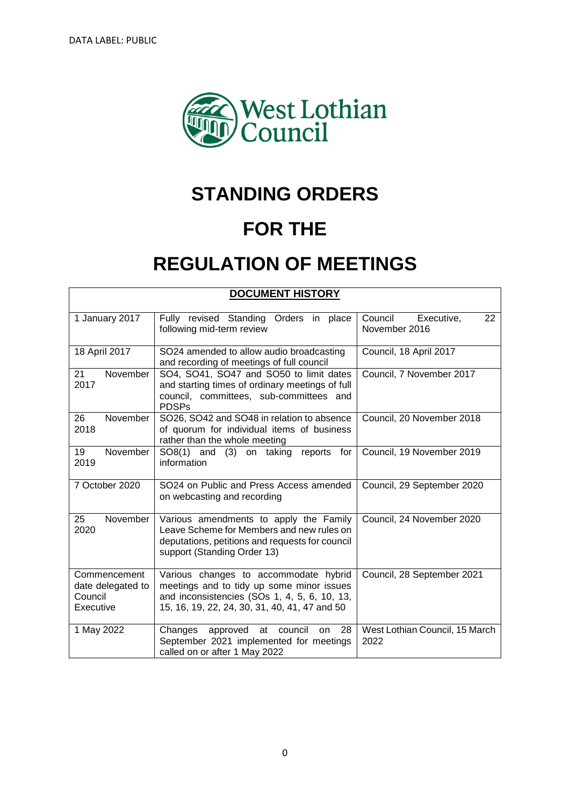

# **STANDING ORDERS**

# **FOR THE**

# **REGULATION OF MEETINGS**

| <b>DOCUMENT HISTORY</b>                                   |                                                                                                                                                                                     |                                              |  |  |  |
|-----------------------------------------------------------|-------------------------------------------------------------------------------------------------------------------------------------------------------------------------------------|----------------------------------------------|--|--|--|
| 1 January 2017                                            | Fully revised Standing Orders in<br>place<br>following mid-term review                                                                                                              | Council<br>Executive,<br>22<br>November 2016 |  |  |  |
| 18 April 2017                                             | SO24 amended to allow audio broadcasting<br>and recording of meetings of full council                                                                                               | Council, 18 April 2017                       |  |  |  |
| November<br>21<br>2017                                    | SO4, SO41, SO47 and SO50 to limit dates<br>and starting times of ordinary meetings of full<br>council, committees, sub-committees and<br><b>PDSPs</b>                               | Council, 7 November 2017                     |  |  |  |
| 26<br>November<br>2018                                    | SO26, SO42 and SO48 in relation to absence<br>of quorum for individual items of business<br>rather than the whole meeting                                                           | Council, 20 November 2018                    |  |  |  |
| November<br>19<br>2019                                    | SO8(1) and (3) on taking reports for<br>information                                                                                                                                 | Council, 19 November 2019                    |  |  |  |
| 7 October 2020                                            | SO24 on Public and Press Access amended<br>on webcasting and recording                                                                                                              | Council, 29 September 2020                   |  |  |  |
| 25<br>November<br>2020                                    | Various amendments to apply the Family<br>Leave Scheme for Members and new rules on<br>deputations, petitions and requests for council<br>support (Standing Order 13)               | Council, 24 November 2020                    |  |  |  |
| Commencement<br>date delegated to<br>Council<br>Executive | Various changes to accommodate hybrid<br>meetings and to tidy up some minor issues<br>and inconsistencies (SOs 1, 4, 5, 6, 10, 13,<br>15, 16, 19, 22, 24, 30, 31, 40, 41, 47 and 50 | Council, 28 September 2021                   |  |  |  |
| 1 May 2022                                                | council<br>28<br>Changes<br>approved<br>at<br>on<br>September 2021 implemented for meetings<br>called on or after 1 May 2022                                                        | West Lothian Council, 15 March<br>2022       |  |  |  |

0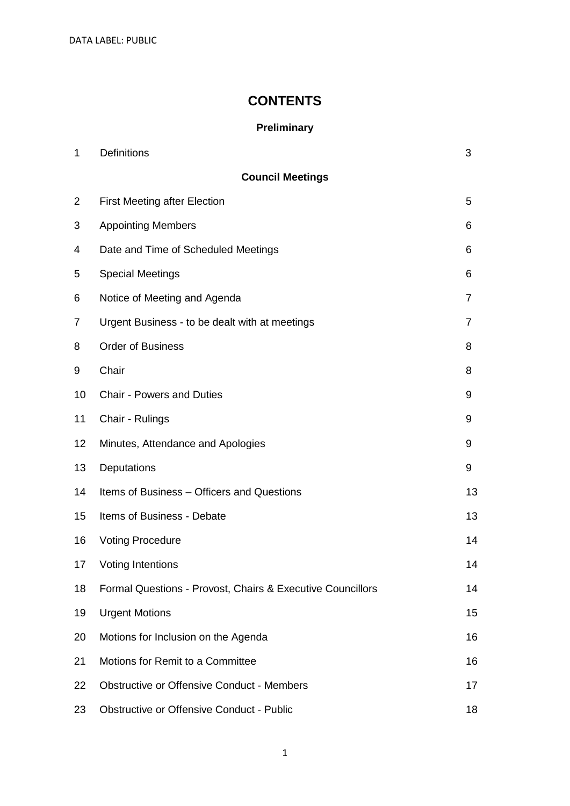DATA LABEL: PUBLIC

### **CONTENTS**

### **Preliminary**

| $\mathbf 1$    | Definitions                                                | 3  |  |  |  |
|----------------|------------------------------------------------------------|----|--|--|--|
|                | <b>Council Meetings</b>                                    |    |  |  |  |
| $\overline{2}$ | <b>First Meeting after Election</b>                        | 5  |  |  |  |
| 3              | <b>Appointing Members</b>                                  | 6  |  |  |  |
| 4              | Date and Time of Scheduled Meetings                        | 6  |  |  |  |
| 5              | <b>Special Meetings</b>                                    | 6  |  |  |  |
| 6              | Notice of Meeting and Agenda                               | 7  |  |  |  |
| 7              | Urgent Business - to be dealt with at meetings             | 7  |  |  |  |
| 8              | <b>Order of Business</b>                                   | 8  |  |  |  |
| 9              | Chair                                                      | 8  |  |  |  |
| 10             | <b>Chair - Powers and Duties</b>                           | 9  |  |  |  |
| 11             | Chair - Rulings                                            | 9  |  |  |  |
| 12             | Minutes, Attendance and Apologies                          | 9  |  |  |  |
| 13             | Deputations                                                | 9  |  |  |  |
| 14             | Items of Business - Officers and Questions                 | 13 |  |  |  |
| 15             | Items of Business - Debate                                 | 13 |  |  |  |
| 16             | <b>Voting Procedure</b>                                    | 14 |  |  |  |
| 17             | <b>Voting Intentions</b>                                   | 14 |  |  |  |
| 18             | Formal Questions - Provost, Chairs & Executive Councillors | 14 |  |  |  |
| 19             | <b>Urgent Motions</b>                                      | 15 |  |  |  |
| 20             | Motions for Inclusion on the Agenda                        | 16 |  |  |  |
| 21             | Motions for Remit to a Committee                           | 16 |  |  |  |
| 22             | <b>Obstructive or Offensive Conduct - Members</b>          | 17 |  |  |  |
| 23             | <b>Obstructive or Offensive Conduct - Public</b>           | 18 |  |  |  |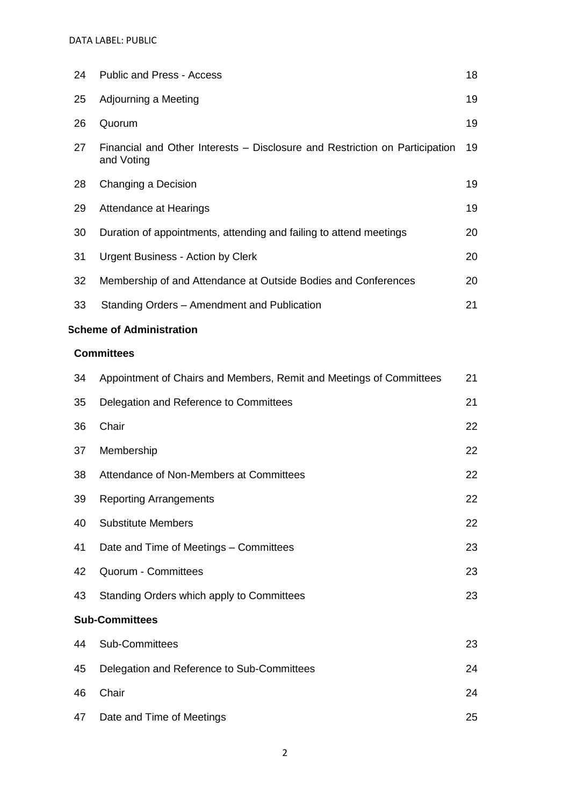| 24 | <b>Public and Press - Access</b>                                                          | 18 |
|----|-------------------------------------------------------------------------------------------|----|
| 25 | Adjourning a Meeting                                                                      | 19 |
| 26 | Quorum                                                                                    | 19 |
| 27 | Financial and Other Interests – Disclosure and Restriction on Participation<br>and Voting | 19 |
| 28 | Changing a Decision                                                                       | 19 |
| 29 | Attendance at Hearings                                                                    | 19 |
| 30 | Duration of appointments, attending and failing to attend meetings                        | 20 |
| 31 | Urgent Business - Action by Clerk                                                         | 20 |
| 32 | Membership of and Attendance at Outside Bodies and Conferences                            | 20 |
| 33 | Standing Orders - Amendment and Publication                                               | 21 |

### **Scheme of Administration**

### **Committees**

| 34                    | Appointment of Chairs and Members, Remit and Meetings of Committees | 21 |
|-----------------------|---------------------------------------------------------------------|----|
| 35                    | Delegation and Reference to Committees                              | 21 |
| 36                    | Chair                                                               | 22 |
| 37                    | Membership                                                          | 22 |
| 38                    | Attendance of Non-Members at Committees                             | 22 |
| 39                    | <b>Reporting Arrangements</b>                                       | 22 |
| 40                    | <b>Substitute Members</b>                                           | 22 |
| 41                    | Date and Time of Meetings - Committees                              | 23 |
| 42                    | Quorum - Committees                                                 | 23 |
| 43                    | Standing Orders which apply to Committees                           | 23 |
| <b>Sub-Committees</b> |                                                                     |    |
| 44                    | Sub-Committees                                                      | 23 |
| 45                    | Delegation and Reference to Sub-Committees                          | 24 |
| 46                    | Chair                                                               | 24 |
| 47                    | Date and Time of Meetings                                           | 25 |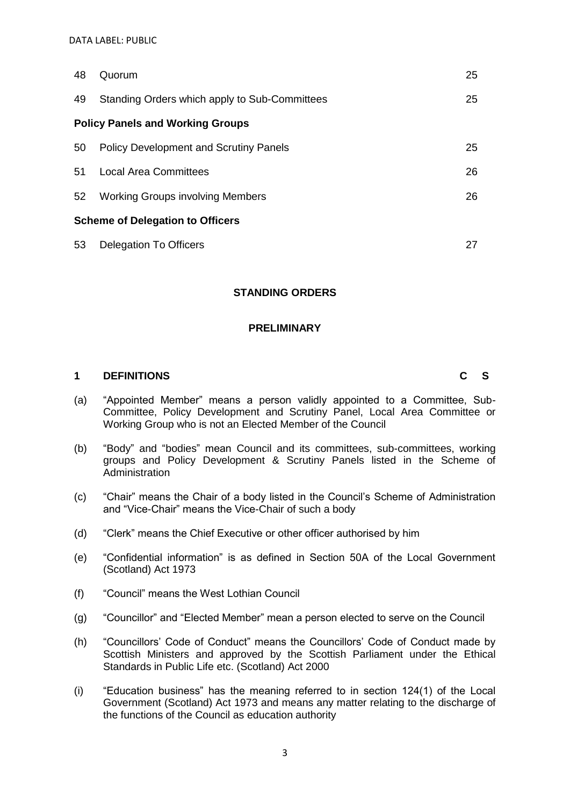| 48                                      | Quorum                                        | 25 |
|-----------------------------------------|-----------------------------------------------|----|
| 49                                      | Standing Orders which apply to Sub-Committees | 25 |
| <b>Policy Panels and Working Groups</b> |                                               |    |
| 50                                      | <b>Policy Development and Scrutiny Panels</b> | 25 |
| 51                                      | <b>Local Area Committees</b>                  | 26 |
| 52                                      | <b>Working Groups involving Members</b>       | 26 |
| <b>Scheme of Delegation to Officers</b> |                                               |    |
| 53                                      | <b>Delegation To Officers</b>                 | 27 |

### **STANDING ORDERS**

### **PRELIMINARY**

### **1 DEFINITIONS C S**

- (a) "Appointed Member" means a person validly appointed to a Committee, Sub-Committee, Policy Development and Scrutiny Panel, Local Area Committee or Working Group who is not an Elected Member of the Council
- (b) "Body" and "bodies" mean Council and its committees, sub-committees, working groups and Policy Development & Scrutiny Panels listed in the Scheme of Administration
- (c) "Chair" means the Chair of a body listed in the Council's Scheme of Administration and "Vice-Chair" means the Vice-Chair of such a body
- (d) "Clerk" means the Chief Executive or other officer authorised by him
- (e) "Confidential information" is as defined in Section 50A of the Local Government (Scotland) Act 1973
- (f) "Council" means the West Lothian Council
- (g) "Councillor" and "Elected Member" mean a person elected to serve on the Council
- (h) "Councillors' Code of Conduct" means the Councillors' Code of Conduct made by Scottish Ministers and approved by the Scottish Parliament under the Ethical Standards in Public Life etc. (Scotland) Act 2000
- (i) "Education business" has the meaning referred to in section 124(1) of the Local Government (Scotland) Act 1973 and means any matter relating to the discharge of the functions of the Council as education authority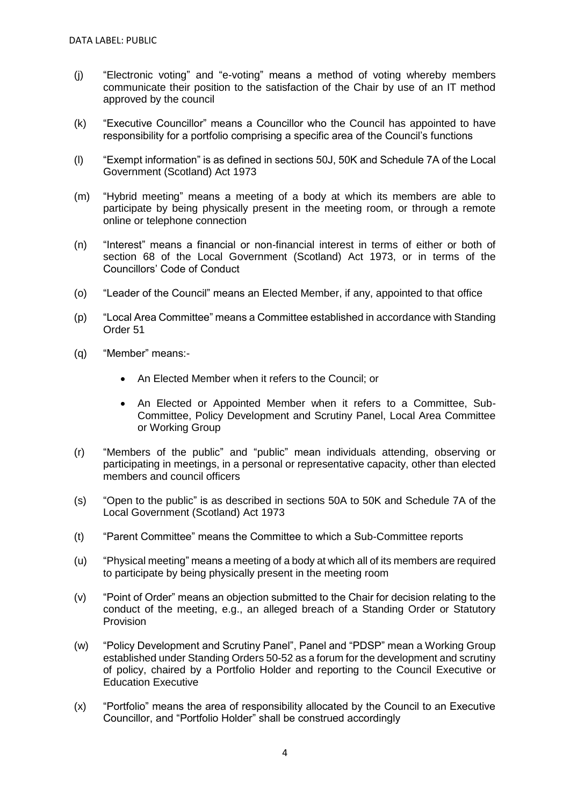- (j) "Electronic voting" and "e-voting" means a method of voting whereby members communicate their position to the satisfaction of the Chair by use of an IT method approved by the council
- (k) "Executive Councillor" means a Councillor who the Council has appointed to have responsibility for a portfolio comprising a specific area of the Council's functions
- (l) "Exempt information" is as defined in sections 50J, 50K and Schedule 7A of the Local Government (Scotland) Act 1973
- (m) "Hybrid meeting" means a meeting of a body at which its members are able to participate by being physically present in the meeting room, or through a remote online or telephone connection
- (n) "Interest" means a financial or non-financial interest in terms of either or both of section 68 of the Local Government (Scotland) Act 1973, or in terms of the Councillors' Code of Conduct
- (o) "Leader of the Council" means an Elected Member, if any, appointed to that office
- (p) "Local Area Committee" means a Committee established in accordance with Standing Order 51
- (q) "Member" means:-
	- An Elected Member when it refers to the Council; or
	- An Elected or Appointed Member when it refers to a Committee, Sub-Committee, Policy Development and Scrutiny Panel, Local Area Committee or Working Group
- (r) "Members of the public" and "public" mean individuals attending, observing or participating in meetings, in a personal or representative capacity, other than elected members and council officers
- (s) "Open to the public" is as described in sections 50A to 50K and Schedule 7A of the Local Government (Scotland) Act 1973
- (t) "Parent Committee" means the Committee to which a Sub-Committee reports
- (u) "Physical meeting" means a meeting of a body at which all of its members are required to participate by being physically present in the meeting room
- (v) "Point of Order" means an objection submitted to the Chair for decision relating to the conduct of the meeting, e.g., an alleged breach of a Standing Order or Statutory Provision
- (w) "Policy Development and Scrutiny Panel", Panel and "PDSP" mean a Working Group established under Standing Orders 50-52 as a forum for the development and scrutiny of policy, chaired by a Portfolio Holder and reporting to the Council Executive or Education Executive
- (x) "Portfolio" means the area of responsibility allocated by the Council to an Executive Councillor, and "Portfolio Holder" shall be construed accordingly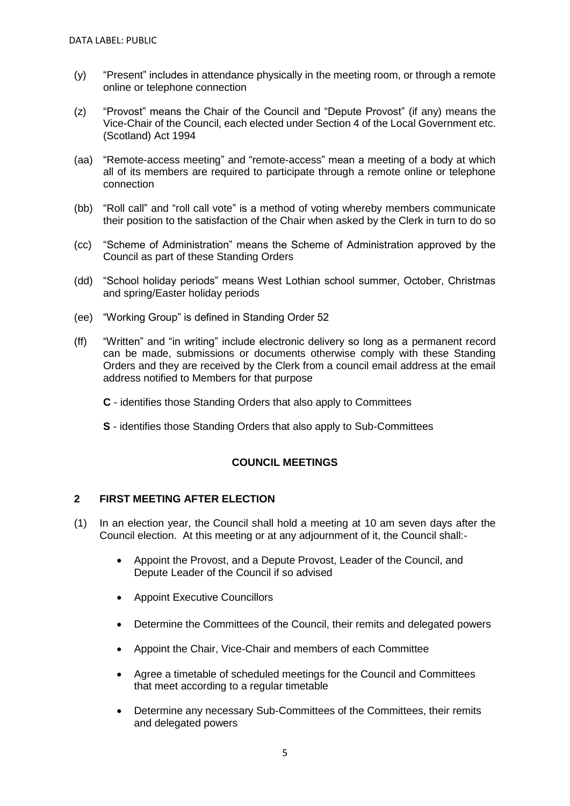- (y) "Present" includes in attendance physically in the meeting room, or through a remote online or telephone connection
- (z) "Provost" means the Chair of the Council and "Depute Provost" (if any) means the Vice-Chair of the Council, each elected under Section 4 of the Local Government etc. (Scotland) Act 1994
- (aa) "Remote-access meeting" and "remote-access" mean a meeting of a body at which all of its members are required to participate through a remote online or telephone connection
- (bb) "Roll call" and "roll call vote" is a method of voting whereby members communicate their position to the satisfaction of the Chair when asked by the Clerk in turn to do so
- (cc) "Scheme of Administration" means the Scheme of Administration approved by the Council as part of these Standing Orders
- (dd) "School holiday periods" means West Lothian school summer, October, Christmas and spring/Easter holiday periods
- (ee) "Working Group" is defined in Standing Order 52
- (ff) "Written" and "in writing" include electronic delivery so long as a permanent record can be made, submissions or documents otherwise comply with these Standing Orders and they are received by the Clerk from a council email address at the email address notified to Members for that purpose
	- **C**  identifies those Standing Orders that also apply to Committees
	- **S** identifies those Standing Orders that also apply to Sub-Committees

### **COUNCIL MEETINGS**

### **2 FIRST MEETING AFTER ELECTION**

- (1) In an election year, the Council shall hold a meeting at 10 am seven days after the Council election. At this meeting or at any adjournment of it, the Council shall:-
	- Appoint the Provost, and a Depute Provost, Leader of the Council, and Depute Leader of the Council if so advised
	- Appoint Executive Councillors
	- Determine the Committees of the Council, their remits and delegated powers
	- Appoint the Chair, Vice-Chair and members of each Committee
	- Agree a timetable of scheduled meetings for the Council and Committees that meet according to a regular timetable
	- Determine any necessary Sub-Committees of the Committees, their remits and delegated powers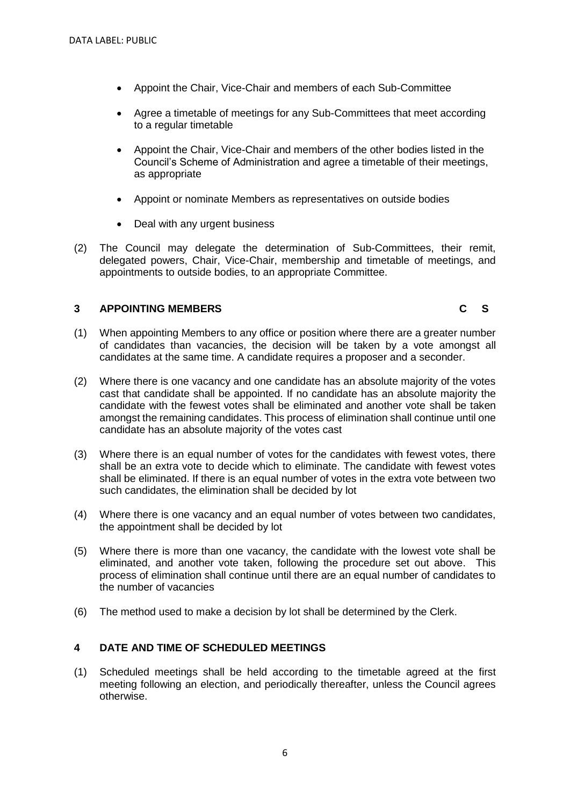- Appoint the Chair, Vice-Chair and members of each Sub-Committee
- Agree a timetable of meetings for any Sub-Committees that meet according to a regular timetable
- Appoint the Chair, Vice-Chair and members of the other bodies listed in the Council's Scheme of Administration and agree a timetable of their meetings, as appropriate
- Appoint or nominate Members as representatives on outside bodies
- Deal with any urgent business
- (2) The Council may delegate the determination of Sub-Committees, their remit, delegated powers, Chair, Vice-Chair, membership and timetable of meetings, and appointments to outside bodies, to an appropriate Committee.

### **3 APPOINTING MEMBERS C S**

- (1) When appointing Members to any office or position where there are a greater number of candidates than vacancies, the decision will be taken by a vote amongst all candidates at the same time. A candidate requires a proposer and a seconder.
- (2) Where there is one vacancy and one candidate has an absolute majority of the votes cast that candidate shall be appointed. If no candidate has an absolute majority the candidate with the fewest votes shall be eliminated and another vote shall be taken amongst the remaining candidates. This process of elimination shall continue until one candidate has an absolute majority of the votes cast
- (3) Where there is an equal number of votes for the candidates with fewest votes, there shall be an extra vote to decide which to eliminate. The candidate with fewest votes shall be eliminated. If there is an equal number of votes in the extra vote between two such candidates, the elimination shall be decided by lot
- (4) Where there is one vacancy and an equal number of votes between two candidates, the appointment shall be decided by lot
- (5) Where there is more than one vacancy, the candidate with the lowest vote shall be eliminated, and another vote taken, following the procedure set out above. This process of elimination shall continue until there are an equal number of candidates to the number of vacancies
- (6) The method used to make a decision by lot shall be determined by the Clerk.

### **4 DATE AND TIME OF SCHEDULED MEETINGS**

(1) Scheduled meetings shall be held according to the timetable agreed at the first meeting following an election, and periodically thereafter, unless the Council agrees otherwise.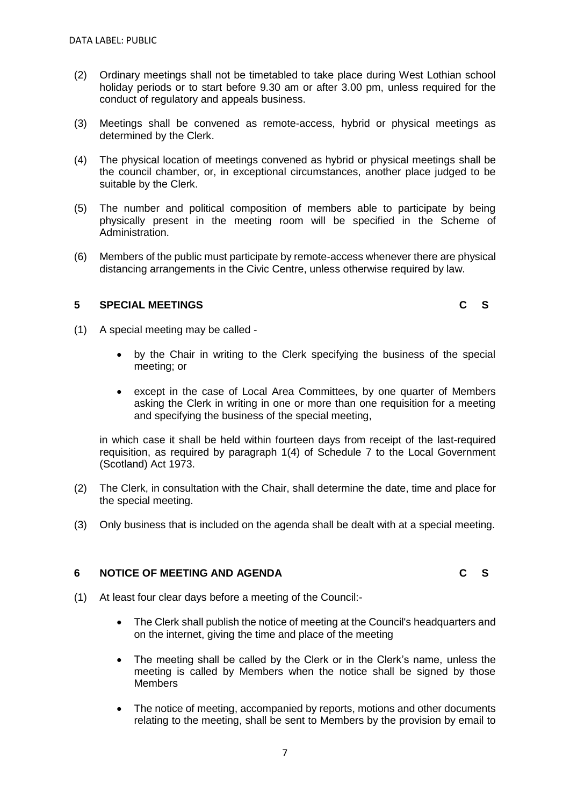- (2) Ordinary meetings shall not be timetabled to take place during West Lothian school holiday periods or to start before 9.30 am or after 3.00 pm, unless required for the conduct of regulatory and appeals business.
- (3) Meetings shall be convened as remote-access, hybrid or physical meetings as determined by the Clerk.
- (4) The physical location of meetings convened as hybrid or physical meetings shall be the council chamber, or, in exceptional circumstances, another place judged to be suitable by the Clerk.
- (5) The number and political composition of members able to participate by being physically present in the meeting room will be specified in the Scheme of Administration.
- (6) Members of the public must participate by remote-access whenever there are physical distancing arrangements in the Civic Centre, unless otherwise required by law.

### **5 SPECIAL MEETINGS C S**

- (1) A special meeting may be called
	- by the Chair in writing to the Clerk specifying the business of the special meeting; or
	- except in the case of Local Area Committees, by one quarter of Members asking the Clerk in writing in one or more than one requisition for a meeting and specifying the business of the special meeting,

in which case it shall be held within fourteen days from receipt of the last-required requisition, as required by paragraph 1(4) of Schedule 7 to the Local Government (Scotland) Act 1973.

- (2) The Clerk, in consultation with the Chair, shall determine the date, time and place for the special meeting.
- (3) Only business that is included on the agenda shall be dealt with at a special meeting.

### **6 NOTICE OF MEETING AND AGENDA C S**

- (1) At least four clear days before a meeting of the Council:-
	- The Clerk shall publish the notice of meeting at the Council's headquarters and on the internet, giving the time and place of the meeting
	- The meeting shall be called by the Clerk or in the Clerk's name, unless the meeting is called by Members when the notice shall be signed by those **Members**
	- The notice of meeting, accompanied by reports, motions and other documents relating to the meeting, shall be sent to Members by the provision by email to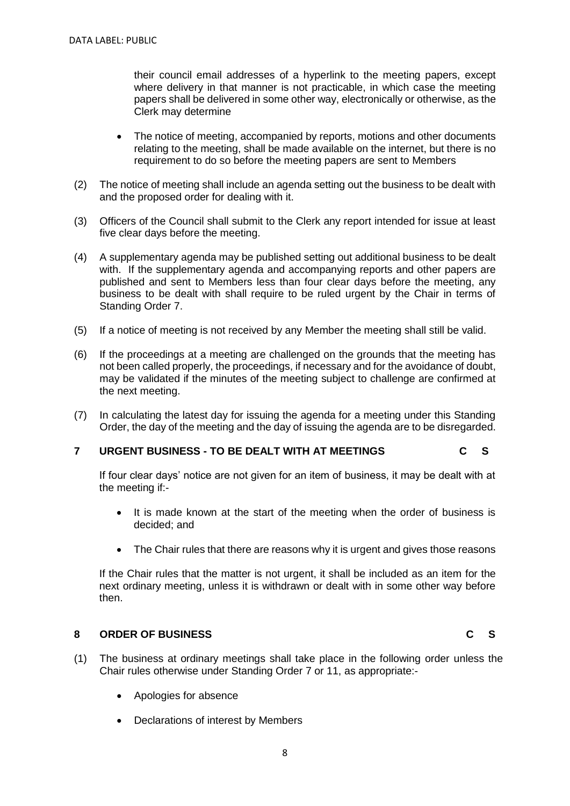their council email addresses of a hyperlink to the meeting papers, except where delivery in that manner is not practicable, in which case the meeting papers shall be delivered in some other way, electronically or otherwise, as the Clerk may determine

- The notice of meeting, accompanied by reports, motions and other documents relating to the meeting, shall be made available on the internet, but there is no requirement to do so before the meeting papers are sent to Members
- (2) The notice of meeting shall include an agenda setting out the business to be dealt with and the proposed order for dealing with it.
- (3) Officers of the Council shall submit to the Clerk any report intended for issue at least five clear days before the meeting.
- (4) A supplementary agenda may be published setting out additional business to be dealt with. If the supplementary agenda and accompanying reports and other papers are published and sent to Members less than four clear days before the meeting, any business to be dealt with shall require to be ruled urgent by the Chair in terms of Standing Order 7.
- (5) If a notice of meeting is not received by any Member the meeting shall still be valid.
- (6) If the proceedings at a meeting are challenged on the grounds that the meeting has not been called properly, the proceedings, if necessary and for the avoidance of doubt, may be validated if the minutes of the meeting subject to challenge are confirmed at the next meeting.
- (7) In calculating the latest day for issuing the agenda for a meeting under this Standing Order, the day of the meeting and the day of issuing the agenda are to be disregarded.

### **7 URGENT BUSINESS - TO BE DEALT WITH AT MEETINGS C S**

If four clear days' notice are not given for an item of business, it may be dealt with at the meeting if:-

- It is made known at the start of the meeting when the order of business is decided; and
- The Chair rules that there are reasons why it is urgent and gives those reasons

If the Chair rules that the matter is not urgent, it shall be included as an item for the next ordinary meeting, unless it is withdrawn or dealt with in some other way before then.

### **8 ORDER OF BUSINESS C S**

- (1) The business at ordinary meetings shall take place in the following order unless the Chair rules otherwise under Standing Order 7 or 11, as appropriate:-
	- Apologies for absence
	- Declarations of interest by Members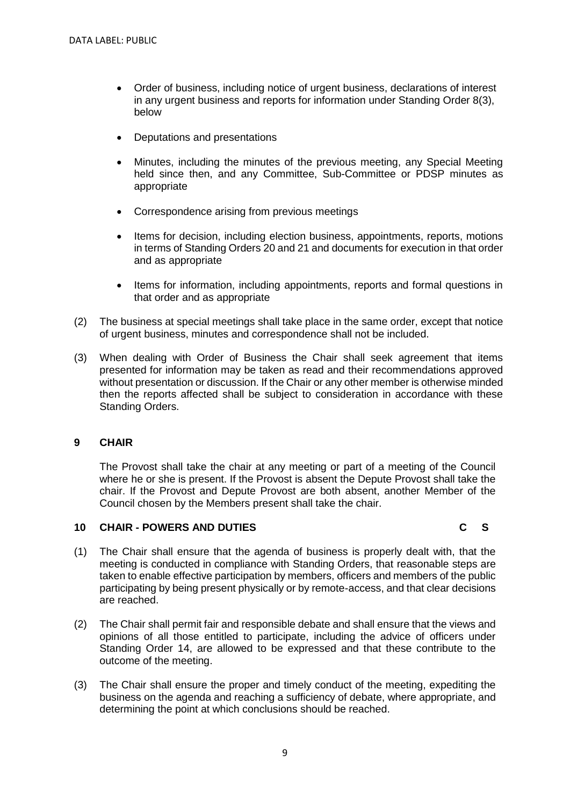- Order of business, including notice of urgent business, declarations of interest in any urgent business and reports for information under Standing Order 8(3), below
- Deputations and presentations
- Minutes, including the minutes of the previous meeting, any Special Meeting held since then, and any Committee, Sub-Committee or PDSP minutes as appropriate
- Correspondence arising from previous meetings
- Items for decision, including election business, appointments, reports, motions in terms of Standing Orders 20 and 21 and documents for execution in that order and as appropriate
- Items for information, including appointments, reports and formal questions in that order and as appropriate
- (2) The business at special meetings shall take place in the same order, except that notice of urgent business, minutes and correspondence shall not be included.
- (3) When dealing with Order of Business the Chair shall seek agreement that items presented for information may be taken as read and their recommendations approved without presentation or discussion. If the Chair or any other member is otherwise minded then the reports affected shall be subject to consideration in accordance with these Standing Orders.

### **9 CHAIR**

The Provost shall take the chair at any meeting or part of a meeting of the Council where he or she is present. If the Provost is absent the Depute Provost shall take the chair. If the Provost and Depute Provost are both absent, another Member of the Council chosen by the Members present shall take the chair.

### **10 CHAIR - POWERS AND DUTIES C S**

- (1) The Chair shall ensure that the agenda of business is properly dealt with, that the meeting is conducted in compliance with Standing Orders, that reasonable steps are taken to enable effective participation by members, officers and members of the public participating by being present physically or by remote-access, and that clear decisions are reached.
- (2) The Chair shall permit fair and responsible debate and shall ensure that the views and opinions of all those entitled to participate, including the advice of officers under Standing Order 14, are allowed to be expressed and that these contribute to the outcome of the meeting.
- (3) The Chair shall ensure the proper and timely conduct of the meeting, expediting the business on the agenda and reaching a sufficiency of debate, where appropriate, and determining the point at which conclusions should be reached.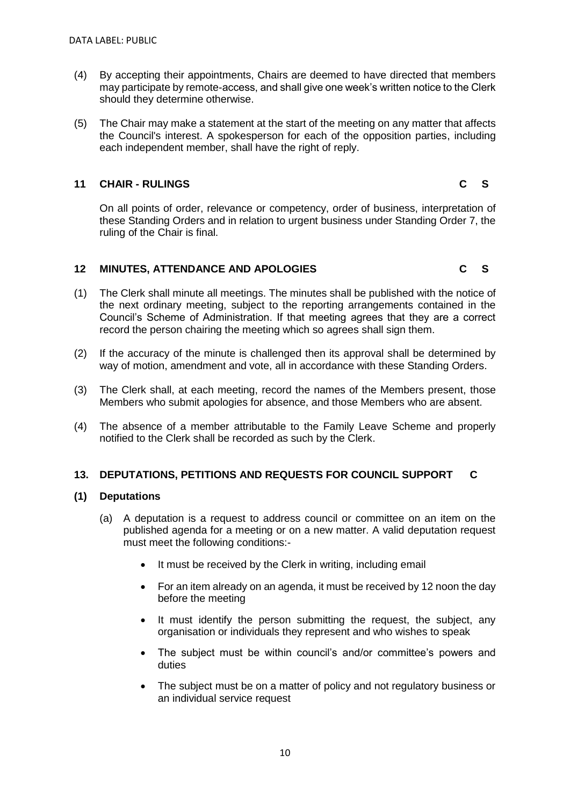- (4) By accepting their appointments, Chairs are deemed to have directed that members may participate by remote-access, and shall give one week's written notice to the Clerk should they determine otherwise.
- (5) The Chair may make a statement at the start of the meeting on any matter that affects the Council's interest. A spokesperson for each of the opposition parties, including each independent member, shall have the right of reply.

### **11 CHAIR - RULINGS C S**

On all points of order, relevance or competency, order of business, interpretation of these Standing Orders and in relation to urgent business under Standing Order 7, the ruling of the Chair is final.

### **12 MINUTES, ATTENDANCE AND APOLOGIES C S**

- (1) The Clerk shall minute all meetings. The minutes shall be published with the notice of the next ordinary meeting, subject to the reporting arrangements contained in the Council's Scheme of Administration. If that meeting agrees that they are a correct record the person chairing the meeting which so agrees shall sign them.
- (2) If the accuracy of the minute is challenged then its approval shall be determined by way of motion, amendment and vote, all in accordance with these Standing Orders.
- (3) The Clerk shall, at each meeting, record the names of the Members present, those Members who submit apologies for absence, and those Members who are absent.
- (4) The absence of a member attributable to the Family Leave Scheme and properly notified to the Clerk shall be recorded as such by the Clerk.

### **13. DEPUTATIONS, PETITIONS AND REQUESTS FOR COUNCIL SUPPORT C**

### **(1) Deputations**

- (a) A deputation is a request to address council or committee on an item on the published agenda for a meeting or on a new matter. A valid deputation request must meet the following conditions:-
	- It must be received by the Clerk in writing, including email
	- For an item already on an agenda, it must be received by 12 noon the day before the meeting
	- It must identify the person submitting the request, the subject, any organisation or individuals they represent and who wishes to speak
	- The subject must be within council's and/or committee's powers and duties
	- The subject must be on a matter of policy and not regulatory business or an individual service request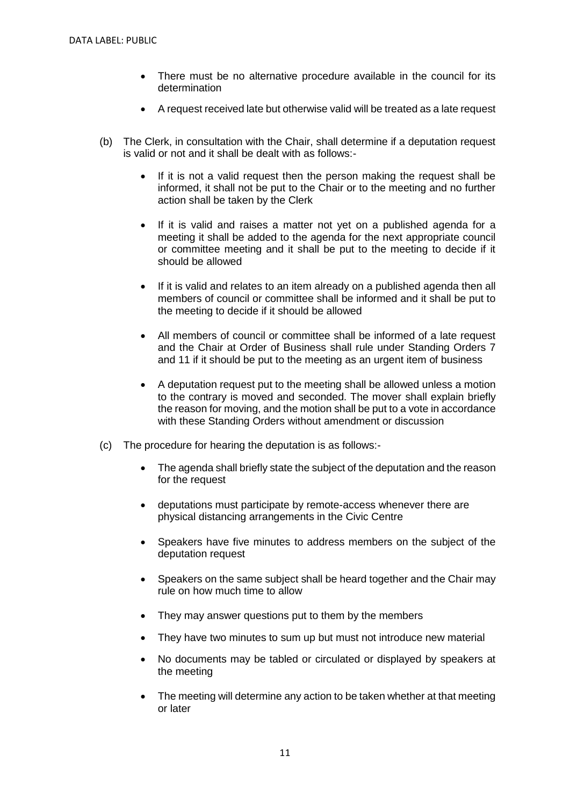- There must be no alternative procedure available in the council for its determination
- A request received late but otherwise valid will be treated as a late request
- (b) The Clerk, in consultation with the Chair, shall determine if a deputation request is valid or not and it shall be dealt with as follows:-
	- If it is not a valid request then the person making the request shall be informed, it shall not be put to the Chair or to the meeting and no further action shall be taken by the Clerk
	- If it is valid and raises a matter not yet on a published agenda for a meeting it shall be added to the agenda for the next appropriate council or committee meeting and it shall be put to the meeting to decide if it should be allowed
	- If it is valid and relates to an item already on a published agenda then all members of council or committee shall be informed and it shall be put to the meeting to decide if it should be allowed
	- All members of council or committee shall be informed of a late request and the Chair at Order of Business shall rule under Standing Orders 7 and 11 if it should be put to the meeting as an urgent item of business
	- A deputation request put to the meeting shall be allowed unless a motion to the contrary is moved and seconded. The mover shall explain briefly the reason for moving, and the motion shall be put to a vote in accordance with these Standing Orders without amendment or discussion
- (c) The procedure for hearing the deputation is as follows:-
	- The agenda shall briefly state the subject of the deputation and the reason for the request
	- deputations must participate by remote-access whenever there are physical distancing arrangements in the Civic Centre
	- Speakers have five minutes to address members on the subject of the deputation request
	- Speakers on the same subject shall be heard together and the Chair may rule on how much time to allow
	- They may answer questions put to them by the members
	- They have two minutes to sum up but must not introduce new material
	- No documents may be tabled or circulated or displayed by speakers at the meeting
	- The meeting will determine any action to be taken whether at that meeting or later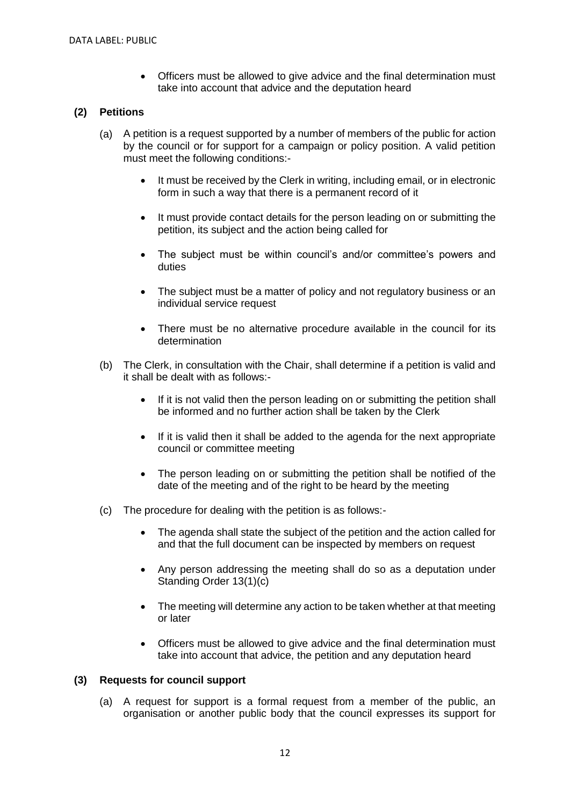• Officers must be allowed to give advice and the final determination must take into account that advice and the deputation heard

### **(2) Petitions**

- (a) A petition is a request supported by a number of members of the public for action by the council or for support for a campaign or policy position. A valid petition must meet the following conditions:-
	- It must be received by the Clerk in writing, including email, or in electronic form in such a way that there is a permanent record of it
	- It must provide contact details for the person leading on or submitting the petition, its subject and the action being called for
	- The subject must be within council's and/or committee's powers and duties
	- The subject must be a matter of policy and not regulatory business or an individual service request
	- There must be no alternative procedure available in the council for its determination
- (b) The Clerk, in consultation with the Chair, shall determine if a petition is valid and it shall be dealt with as follows:-
	- If it is not valid then the person leading on or submitting the petition shall be informed and no further action shall be taken by the Clerk
	- If it is valid then it shall be added to the agenda for the next appropriate council or committee meeting
	- The person leading on or submitting the petition shall be notified of the date of the meeting and of the right to be heard by the meeting
- (c) The procedure for dealing with the petition is as follows:-
	- The agenda shall state the subject of the petition and the action called for and that the full document can be inspected by members on request
	- Any person addressing the meeting shall do so as a deputation under Standing Order 13(1)(c)
	- The meeting will determine any action to be taken whether at that meeting or later
	- Officers must be allowed to give advice and the final determination must take into account that advice, the petition and any deputation heard

### **(3) Requests for council support**

(a) A request for support is a formal request from a member of the public, an organisation or another public body that the council expresses its support for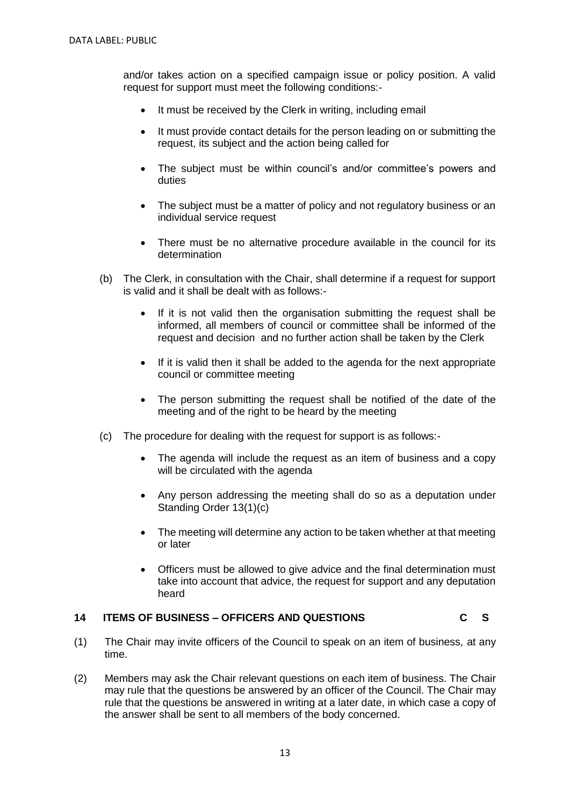and/or takes action on a specified campaign issue or policy position. A valid request for support must meet the following conditions:-

- It must be received by the Clerk in writing, including email
- It must provide contact details for the person leading on or submitting the request, its subject and the action being called for
- The subject must be within council's and/or committee's powers and duties
- The subject must be a matter of policy and not regulatory business or an individual service request
- There must be no alternative procedure available in the council for its determination
- (b) The Clerk, in consultation with the Chair, shall determine if a request for support is valid and it shall be dealt with as follows:-
	- If it is not valid then the organisation submitting the request shall be informed, all members of council or committee shall be informed of the request and decision and no further action shall be taken by the Clerk
	- If it is valid then it shall be added to the agenda for the next appropriate council or committee meeting
	- The person submitting the request shall be notified of the date of the meeting and of the right to be heard by the meeting
- (c) The procedure for dealing with the request for support is as follows:-
	- The agenda will include the request as an item of business and a copy will be circulated with the agenda
	- Any person addressing the meeting shall do so as a deputation under Standing Order 13(1)(c)
	- The meeting will determine any action to be taken whether at that meeting or later
	- Officers must be allowed to give advice and the final determination must take into account that advice, the request for support and any deputation heard

### **14 ITEMS OF BUSINESS – OFFICERS AND QUESTIONS C S**

- (1) The Chair may invite officers of the Council to speak on an item of business*,* at any time.
- (2) Members may ask the Chair relevant questions on each item of business. The Chair may rule that the questions be answered by an officer of the Council. The Chair may rule that the questions be answered in writing at a later date, in which case a copy of the answer shall be sent to all members of the body concerned.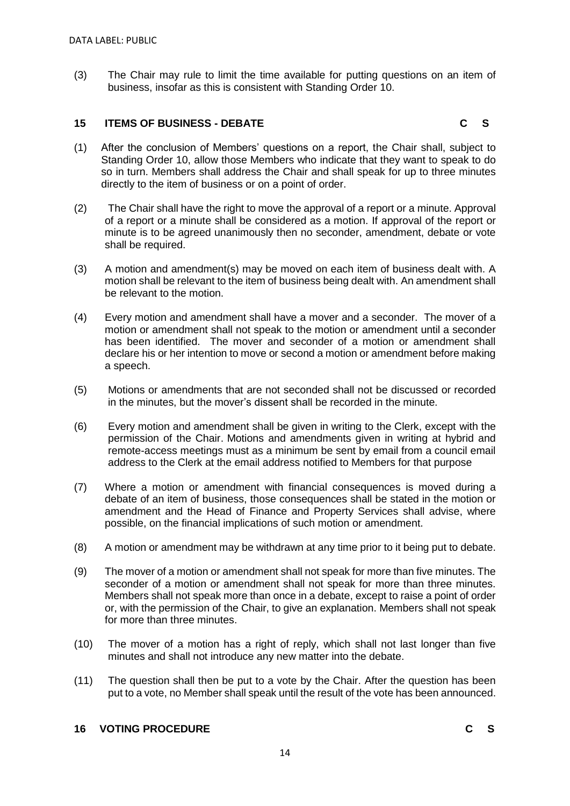(3) The Chair may rule to limit the time available for putting questions on an item of business, insofar as this is consistent with Standing Order 10.

### **15 ITEMS OF BUSINESS - DEBATE C S**

- (1) After the conclusion of Members' questions on a report, the Chair shall, subject to Standing Order 10, allow those Members who indicate that they want to speak to do so in turn. Members shall address the Chair and shall speak for up to three minutes directly to the item of business or on a point of order.
- (2) The Chair shall have the right to move the approval of a report or a minute. Approval of a report or a minute shall be considered as a motion. If approval of the report or minute is to be agreed unanimously then no seconder, amendment, debate or vote shall be required.
- (3) A motion and amendment(s) may be moved on each item of business dealt with. A motion shall be relevant to the item of business being dealt with. An amendment shall be relevant to the motion.
- (4) Every motion and amendment shall have a mover and a seconder. The mover of a motion or amendment shall not speak to the motion or amendment until a seconder has been identified. The mover and seconder of a motion or amendment shall declare his or her intention to move or second a motion or amendment before making a speech.
- (5) Motions or amendments that are not seconded shall not be discussed or recorded in the minutes, but the mover's dissent shall be recorded in the minute.
- (6) Every motion and amendment shall be given in writing to the Clerk, except with the permission of the Chair. Motions and amendments given in writing at hybrid and remote-access meetings must as a minimum be sent by email from a council email address to the Clerk at the email address notified to Members for that purpose
- (7) Where a motion or amendment with financial consequences is moved during a debate of an item of business, those consequences shall be stated in the motion or amendment and the Head of Finance and Property Services shall advise, where possible, on the financial implications of such motion or amendment.
- (8) A motion or amendment may be withdrawn at any time prior to it being put to debate.
- (9) The mover of a motion or amendment shall not speak for more than five minutes. The seconder of a motion or amendment shall not speak for more than three minutes. Members shall not speak more than once in a debate, except to raise a point of order or, with the permission of the Chair, to give an explanation. Members shall not speak for more than three minutes.
- (10) The mover of a motion has a right of reply, which shall not last longer than five minutes and shall not introduce any new matter into the debate.
- (11) The question shall then be put to a vote by the Chair. After the question has been put to a vote, no Member shall speak until the result of the vote has been announced.

### **16 VOTING PROCEDURE C S**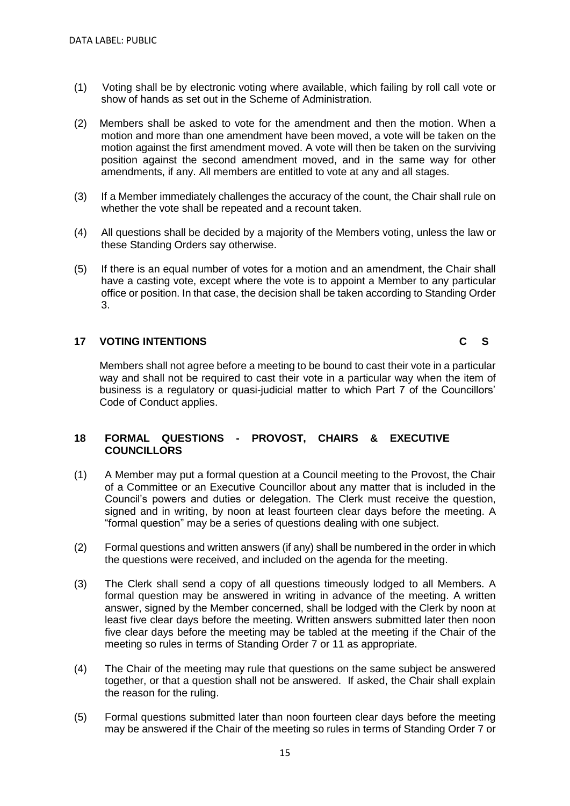- (1) Voting shall be by electronic voting where available, which failing by roll call vote or show of hands as set out in the Scheme of Administration.
- (2) Members shall be asked to vote for the amendment and then the motion. When a motion and more than one amendment have been moved, a vote will be taken on the motion against the first amendment moved. A vote will then be taken on the surviving position against the second amendment moved, and in the same way for other amendments, if any. All members are entitled to vote at any and all stages.
- (3) If a Member immediately challenges the accuracy of the count, the Chair shall rule on whether the vote shall be repeated and a recount taken.
- (4) All questions shall be decided by a majority of the Members voting, unless the law or these Standing Orders say otherwise.
- (5) If there is an equal number of votes for a motion and an amendment, the Chair shall have a casting vote, except where the vote is to appoint a Member to any particular office or position. In that case, the decision shall be taken according to Standing Order 3.

### **17 VOTING INTENTIONS C S**

Members shall not agree before a meeting to be bound to cast their vote in a particular way and shall not be required to cast their vote in a particular way when the item of business is a regulatory or quasi-judicial matter to which Part 7 of the Councillors' Code of Conduct applies.

### **18 FORMAL QUESTIONS - PROVOST, CHAIRS & EXECUTIVE COUNCILLORS**

- (1) A Member may put a formal question at a Council meeting to the Provost, the Chair of a Committee or an Executive Councillor about any matter that is included in the Council's powers and duties or delegation. The Clerk must receive the question, signed and in writing, by noon at least fourteen clear days before the meeting. A "formal question" may be a series of questions dealing with one subject.
- (2) Formal questions and written answers (if any) shall be numbered in the order in which the questions were received, and included on the agenda for the meeting.
- (3) The Clerk shall send a copy of all questions timeously lodged to all Members. A formal question may be answered in writing in advance of the meeting. A written answer, signed by the Member concerned, shall be lodged with the Clerk by noon at least five clear days before the meeting. Written answers submitted later then noon five clear days before the meeting may be tabled at the meeting if the Chair of the meeting so rules in terms of Standing Order 7 or 11 as appropriate.
- (4) The Chair of the meeting may rule that questions on the same subject be answered together, or that a question shall not be answered. If asked, the Chair shall explain the reason for the ruling.
- (5) Formal questions submitted later than noon fourteen clear days before the meeting may be answered if the Chair of the meeting so rules in terms of Standing Order 7 or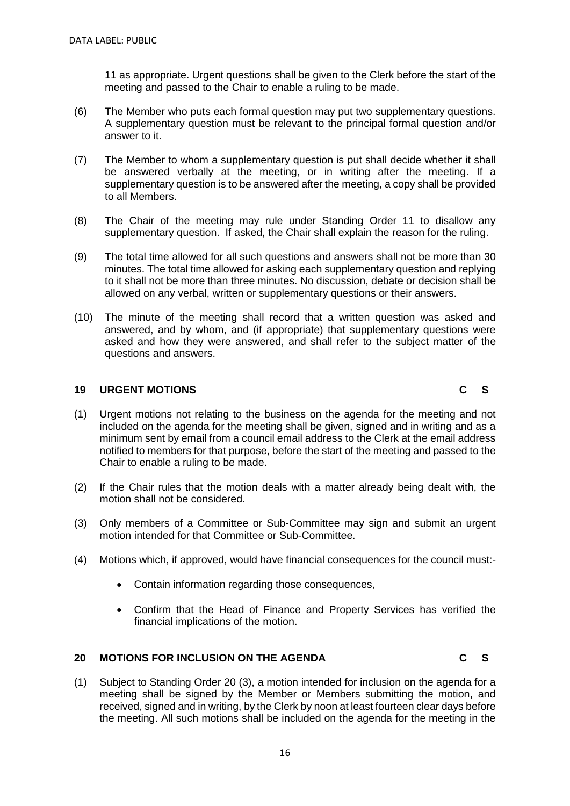11 as appropriate. Urgent questions shall be given to the Clerk before the start of the meeting and passed to the Chair to enable a ruling to be made.

- (6) The Member who puts each formal question may put two supplementary questions. A supplementary question must be relevant to the principal formal question and/or answer to it.
- (7) The Member to whom a supplementary question is put shall decide whether it shall be answered verbally at the meeting, or in writing after the meeting. If a supplementary question is to be answered after the meeting, a copy shall be provided to all Members.
- (8) The Chair of the meeting may rule under Standing Order 11 to disallow any supplementary question. If asked, the Chair shall explain the reason for the ruling.
- (9) The total time allowed for all such questions and answers shall not be more than 30 minutes. The total time allowed for asking each supplementary question and replying to it shall not be more than three minutes. No discussion, debate or decision shall be allowed on any verbal, written or supplementary questions or their answers.
- (10) The minute of the meeting shall record that a written question was asked and answered, and by whom, and (if appropriate) that supplementary questions were asked and how they were answered, and shall refer to the subject matter of the questions and answers.

### **19 URGENT MOTIONS C S**

- (1) Urgent motions not relating to the business on the agenda for the meeting and not included on the agenda for the meeting shall be given, signed and in writing and as a minimum sent by email from a council email address to the Clerk at the email address notified to members for that purpose, before the start of the meeting and passed to the Chair to enable a ruling to be made.
- (2) If the Chair rules that the motion deals with a matter already being dealt with, the motion shall not be considered.
- (3) Only members of a Committee or Sub-Committee may sign and submit an urgent motion intended for that Committee or Sub-Committee.
- (4) Motions which, if approved, would have financial consequences for the council must:-
	- Contain information regarding those consequences,
	- Confirm that the Head of Finance and Property Services has verified the financial implications of the motion.

### **20 MOTIONS FOR INCLUSION ON THE AGENDA C S**

(1) Subject to Standing Order 20 (3), a motion intended for inclusion on the agenda for a meeting shall be signed by the Member or Members submitting the motion, and received, signed and in writing, by the Clerk by noon at least fourteen clear days before the meeting. All such motions shall be included on the agenda for the meeting in the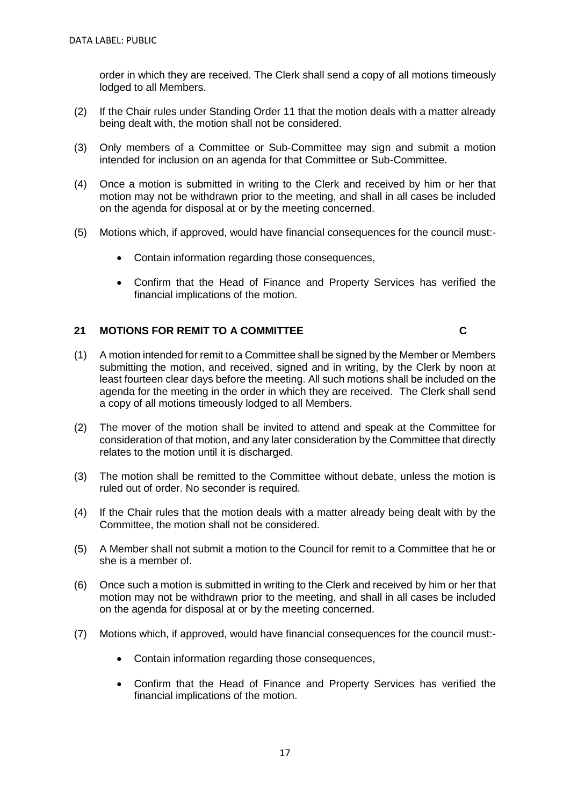order in which they are received. The Clerk shall send a copy of all motions timeously lodged to all Members.

- (2) If the Chair rules under Standing Order 11 that the motion deals with a matter already being dealt with, the motion shall not be considered.
- (3) Only members of a Committee or Sub-Committee may sign and submit a motion intended for inclusion on an agenda for that Committee or Sub-Committee.
- (4) Once a motion is submitted in writing to the Clerk and received by him or her that motion may not be withdrawn prior to the meeting, and shall in all cases be included on the agenda for disposal at or by the meeting concerned.
- (5) Motions which, if approved, would have financial consequences for the council must:-
	- Contain information regarding those consequences,
	- Confirm that the Head of Finance and Property Services has verified the financial implications of the motion.

### **21 MOTIONS FOR REMIT TO A COMMITTEE C**

- (1) A motion intended for remit to a Committee shall be signed by the Member or Members submitting the motion, and received, signed and in writing, by the Clerk by noon at least fourteen clear days before the meeting. All such motions shall be included on the agenda for the meeting in the order in which they are received. The Clerk shall send a copy of all motions timeously lodged to all Members.
- (2) The mover of the motion shall be invited to attend and speak at the Committee for consideration of that motion, and any later consideration by the Committee that directly relates to the motion until it is discharged.
- (3) The motion shall be remitted to the Committee without debate, unless the motion is ruled out of order. No seconder is required.
- (4) If the Chair rules that the motion deals with a matter already being dealt with by the Committee, the motion shall not be considered.
- (5) A Member shall not submit a motion to the Council for remit to a Committee that he or she is a member of.
- (6) Once such a motion is submitted in writing to the Clerk and received by him or her that motion may not be withdrawn prior to the meeting, and shall in all cases be included on the agenda for disposal at or by the meeting concerned.
- (7) Motions which, if approved, would have financial consequences for the council must:-
	- Contain information regarding those consequences,
	- Confirm that the Head of Finance and Property Services has verified the financial implications of the motion.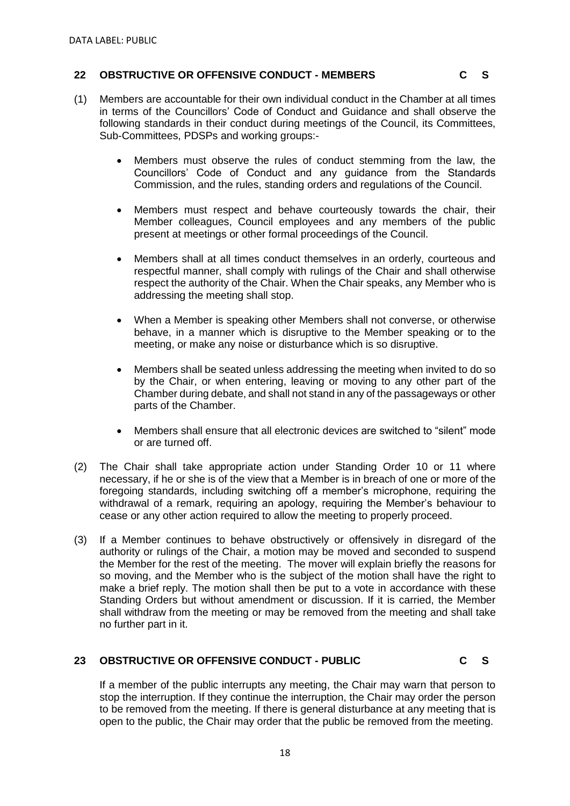### **22 OBSTRUCTIVE OR OFFENSIVE CONDUCT - MEMBERS**

- (1) Members are accountable for their own individual conduct in the Chamber at all times in terms of the Councillors' Code of Conduct and Guidance and shall observe the following standards in their conduct during meetings of the Council, its Committees, Sub-Committees, PDSPs and working groups:-
	- Members must observe the rules of conduct stemming from the law, the Councillors' Code of Conduct and any guidance from the Standards Commission, and the rules, standing orders and regulations of the Council.
	- Members must respect and behave courteously towards the chair, their Member colleagues, Council employees and any members of the public present at meetings or other formal proceedings of the Council.
	- Members shall at all times conduct themselves in an orderly, courteous and respectful manner, shall comply with rulings of the Chair and shall otherwise respect the authority of the Chair. When the Chair speaks, any Member who is addressing the meeting shall stop.
	- When a Member is speaking other Members shall not converse, or otherwise behave, in a manner which is disruptive to the Member speaking or to the meeting, or make any noise or disturbance which is so disruptive.
	- Members shall be seated unless addressing the meeting when invited to do so by the Chair, or when entering, leaving or moving to any other part of the Chamber during debate, and shall not stand in any of the passageways or other parts of the Chamber.
	- Members shall ensure that all electronic devices are switched to "silent" mode or are turned off.
- (2) The Chair shall take appropriate action under Standing Order 10 or 11 where necessary, if he or she is of the view that a Member is in breach of one or more of the foregoing standards, including switching off a member's microphone, requiring the withdrawal of a remark, requiring an apology, requiring the Member's behaviour to cease or any other action required to allow the meeting to properly proceed.
- (3) If a Member continues to behave obstructively or offensively in disregard of the authority or rulings of the Chair, a motion may be moved and seconded to suspend the Member for the rest of the meeting. The mover will explain briefly the reasons for so moving, and the Member who is the subject of the motion shall have the right to make a brief reply. The motion shall then be put to a vote in accordance with these Standing Orders but without amendment or discussion. If it is carried, the Member shall withdraw from the meeting or may be removed from the meeting and shall take no further part in it.

### **23 OBSTRUCTIVE OR OFFENSIVE CONDUCT - PUBLIC C S**

If a member of the public interrupts any meeting, the Chair may warn that person to stop the interruption. If they continue the interruption, the Chair may order the person to be removed from the meeting. If there is general disturbance at any meeting that is open to the public, the Chair may order that the public be removed from the meeting.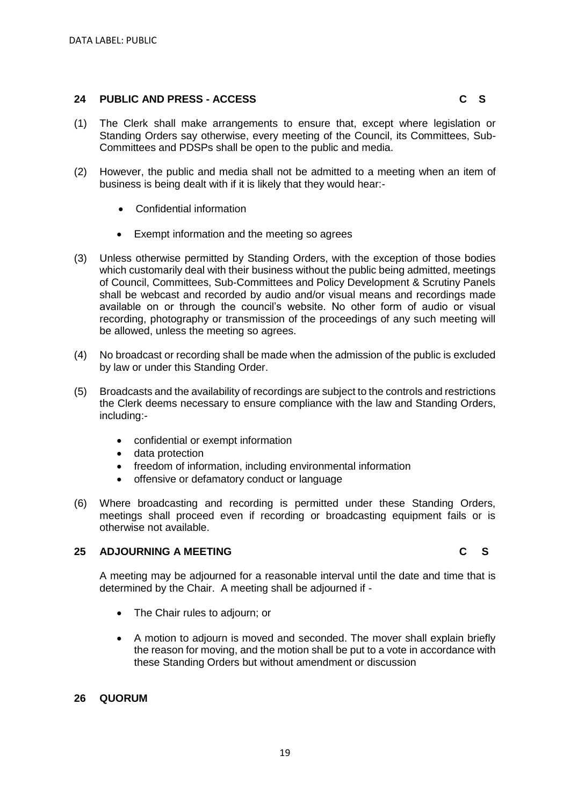### **24 PUBLIC AND PRESS - ACCESS C S**

- (1) The Clerk shall make arrangements to ensure that, except where legislation or Standing Orders say otherwise, every meeting of the Council, its Committees, Sub-
- (2) However, the public and media shall not be admitted to a meeting when an item of business is being dealt with if it is likely that they would hear:-
	- Confidential information
	- Exempt information and the meeting so agrees

Committees and PDSPs shall be open to the public and media.

- (3) Unless otherwise permitted by Standing Orders, with the exception of those bodies which customarily deal with their business without the public being admitted, meetings of Council, Committees, Sub-Committees and Policy Development & Scrutiny Panels shall be webcast and recorded by audio and/or visual means and recordings made available on or through the council's website. No other form of audio or visual recording, photography or transmission of the proceedings of any such meeting will be allowed, unless the meeting so agrees.
- (4) No broadcast or recording shall be made when the admission of the public is excluded by law or under this Standing Order.
- (5) Broadcasts and the availability of recordings are subject to the controls and restrictions the Clerk deems necessary to ensure compliance with the law and Standing Orders, including:-
	- confidential or exempt information
	- data protection
	- freedom of information, including environmental information
	- offensive or defamatory conduct or language
- (6) Where broadcasting and recording is permitted under these Standing Orders, meetings shall proceed even if recording or broadcasting equipment fails or is otherwise not available.

### **25 ADJOURNING A MEETING C S**

A meeting may be adjourned for a reasonable interval until the date and time that is determined by the Chair. A meeting shall be adjourned if -

- The Chair rules to adjourn; or
- A motion to adjourn is moved and seconded. The mover shall explain briefly the reason for moving, and the motion shall be put to a vote in accordance with these Standing Orders but without amendment or discussion

### **26 QUORUM**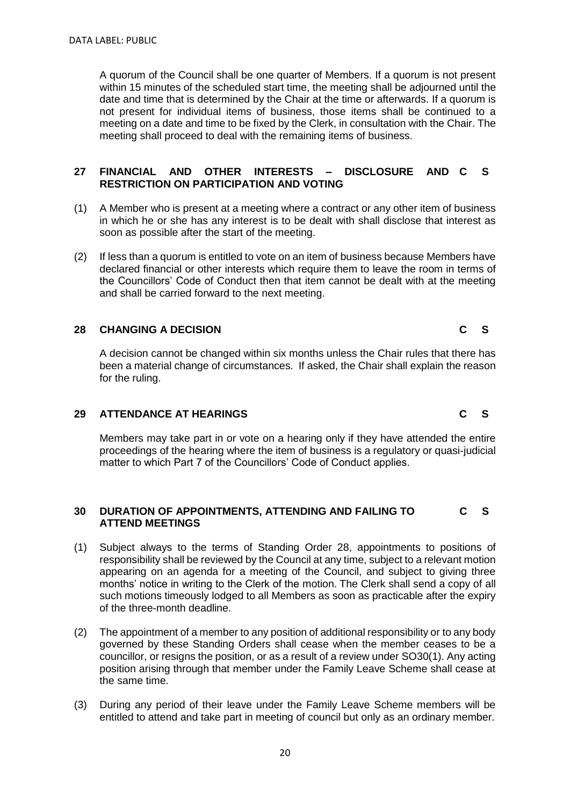A quorum of the Council shall be one quarter of Members. If a quorum is not present within 15 minutes of the scheduled start time, the meeting shall be adjourned until the date and time that is determined by the Chair at the time or afterwards. If a quorum is not present for individual items of business, those items shall be continued to a meeting on a date and time to be fixed by the Clerk, in consultation with the Chair. The meeting shall proceed to deal with the remaining items of business.

### **27 FINANCIAL AND OTHER INTERESTS – DISCLOSURE AND RESTRICTION ON PARTICIPATION AND VOTING** - DISCLOSURE AND C S

- (1) A Member who is present at a meeting where a contract or any other item of business in which he or she has any interest is to be dealt with shall disclose that interest as soon as possible after the start of the meeting.
- (2) If less than a quorum is entitled to vote on an item of business because Members have declared financial or other interests which require them to leave the room in terms of the Councillors' Code of Conduct then that item cannot be dealt with at the meeting and shall be carried forward to the next meeting.

### **28 CHANGING A DECISION C S**

A decision cannot be changed within six months unless the Chair rules that there has been a material change of circumstances. If asked, the Chair shall explain the reason for the ruling.

### **29 ATTENDANCE AT HEARINGS C S**

Members may take part in or vote on a hearing only if they have attended the entire proceedings of the hearing where the item of business is a regulatory or quasi-judicial matter to which Part 7 of the Councillors' Code of Conduct applies.

### **30 DURATION OF APPOINTMENTS, ATTENDING AND FAILING TO ATTEND MEETINGS C S**

- (1) Subject always to the terms of Standing Order 28, appointments to positions of responsibility shall be reviewed by the Council at any time, subject to a relevant motion appearing on an agenda for a meeting of the Council, and subject to giving three months' notice in writing to the Clerk of the motion. The Clerk shall send a copy of all such motions timeously lodged to all Members as soon as practicable after the expiry of the three-month deadline.
- (2) The appointment of a member to any position of additional responsibility or to any body governed by these Standing Orders shall cease when the member ceases to be a councillor, or resigns the position, or as a result of a review under SO30(1). Any acting position arising through that member under the Family Leave Scheme shall cease at the same time.
- (3) During any period of their leave under the Family Leave Scheme members will be entitled to attend and take part in meeting of council but only as an ordinary member.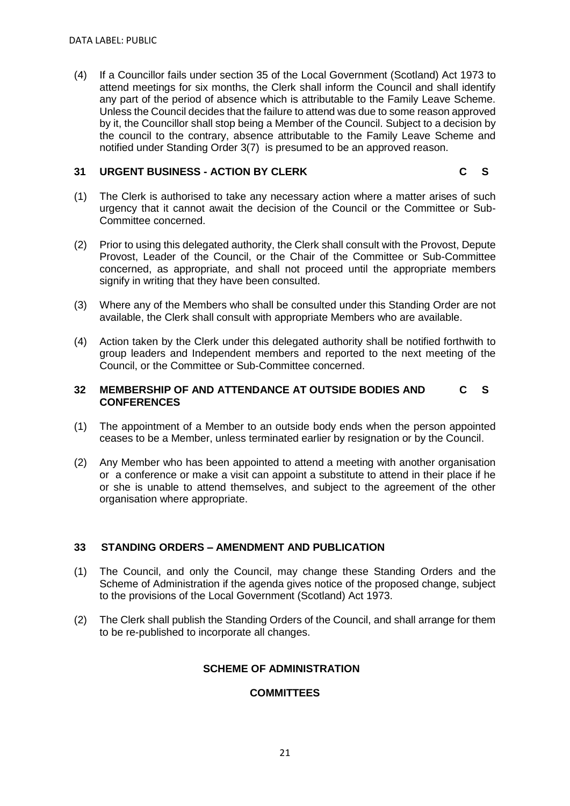(4) If a Councillor fails under section 35 of the Local Government (Scotland) Act 1973 to attend meetings for six months, the Clerk shall inform the Council and shall identify any part of the period of absence which is attributable to the Family Leave Scheme. Unless the Council decides that the failure to attend was due to some reason approved by it, the Councillor shall stop being a Member of the Council. Subject to a decision by the council to the contrary, absence attributable to the Family Leave Scheme and notified under Standing Order 3(7) is presumed to be an approved reason.

### **31 URGENT BUSINESS - ACTION BY CLERK C S**

- (1) The Clerk is authorised to take any necessary action where a matter arises of such urgency that it cannot await the decision of the Council or the Committee or Sub-Committee concerned.
- (2) Prior to using this delegated authority, the Clerk shall consult with the Provost, Depute Provost, Leader of the Council, or the Chair of the Committee or Sub-Committee concerned, as appropriate, and shall not proceed until the appropriate members signify in writing that they have been consulted.
- (3) Where any of the Members who shall be consulted under this Standing Order are not available, the Clerk shall consult with appropriate Members who are available.
- (4) Action taken by the Clerk under this delegated authority shall be notified forthwith to group leaders and Independent members and reported to the next meeting of the Council, or the Committee or Sub-Committee concerned.

### **32 MEMBERSHIP OF AND ATTENDANCE AT OUTSIDE BODIES AND CONFERENCES C S**

- (1) The appointment of a Member to an outside body ends when the person appointed ceases to be a Member, unless terminated earlier by resignation or by the Council.
- (2) Any Member who has been appointed to attend a meeting with another organisation or a conference or make a visit can appoint a substitute to attend in their place if he or she is unable to attend themselves, and subject to the agreement of the other organisation where appropriate.

### **33 STANDING ORDERS – AMENDMENT AND PUBLICATION**

- (1) The Council, and only the Council, may change these Standing Orders and the Scheme of Administration if the agenda gives notice of the proposed change, subject to the provisions of the Local Government (Scotland) Act 1973.
- (2) The Clerk shall publish the Standing Orders of the Council, and shall arrange for them to be re-published to incorporate all changes.

### **SCHEME OF ADMINISTRATION**

### **COMMITTEES**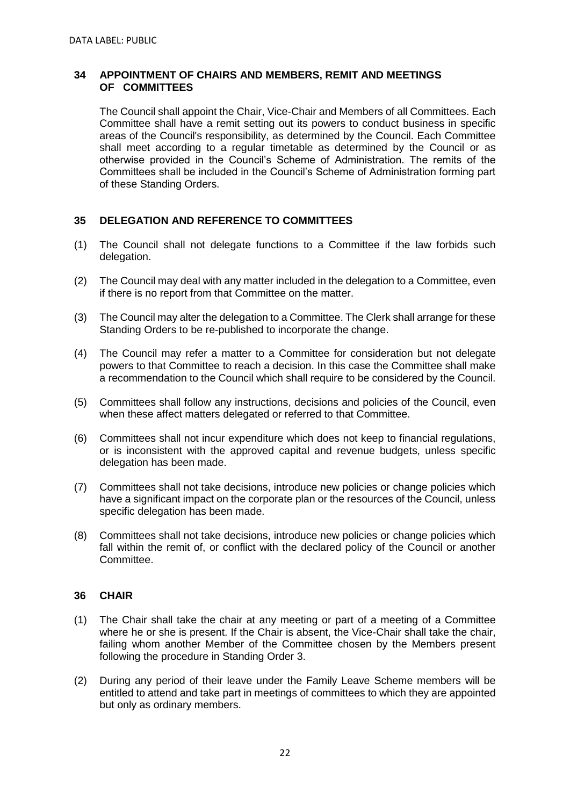### **34 APPOINTMENT OF CHAIRS AND MEMBERS, REMIT AND MEETINGS OF COMMITTEES**

The Council shall appoint the Chair, Vice-Chair and Members of all Committees. Each Committee shall have a remit setting out its powers to conduct business in specific areas of the Council's responsibility, as determined by the Council. Each Committee shall meet according to a regular timetable as determined by the Council or as otherwise provided in the Council's Scheme of Administration. The remits of the Committees shall be included in the Council's Scheme of Administration forming part of these Standing Orders.

### **35 DELEGATION AND REFERENCE TO COMMITTEES**

- (1) The Council shall not delegate functions to a Committee if the law forbids such delegation.
- (2) The Council may deal with any matter included in the delegation to a Committee, even if there is no report from that Committee on the matter.
- (3) The Council may alter the delegation to a Committee. The Clerk shall arrange for these Standing Orders to be re-published to incorporate the change.
- (4) The Council may refer a matter to a Committee for consideration but not delegate powers to that Committee to reach a decision. In this case the Committee shall make a recommendation to the Council which shall require to be considered by the Council.
- (5) Committees shall follow any instructions, decisions and policies of the Council, even when these affect matters delegated or referred to that Committee.
- (6) Committees shall not incur expenditure which does not keep to financial regulations, or is inconsistent with the approved capital and revenue budgets, unless specific delegation has been made.
- (7) Committees shall not take decisions, introduce new policies or change policies which have a significant impact on the corporate plan or the resources of the Council, unless specific delegation has been made.
- (8) Committees shall not take decisions, introduce new policies or change policies which fall within the remit of, or conflict with the declared policy of the Council or another Committee.

### **36 CHAIR**

- (1) The Chair shall take the chair at any meeting or part of a meeting of a Committee where he or she is present. If the Chair is absent, the Vice-Chair shall take the chair, failing whom another Member of the Committee chosen by the Members present following the procedure in Standing Order 3.
- (2) During any period of their leave under the Family Leave Scheme members will be entitled to attend and take part in meetings of committees to which they are appointed but only as ordinary members.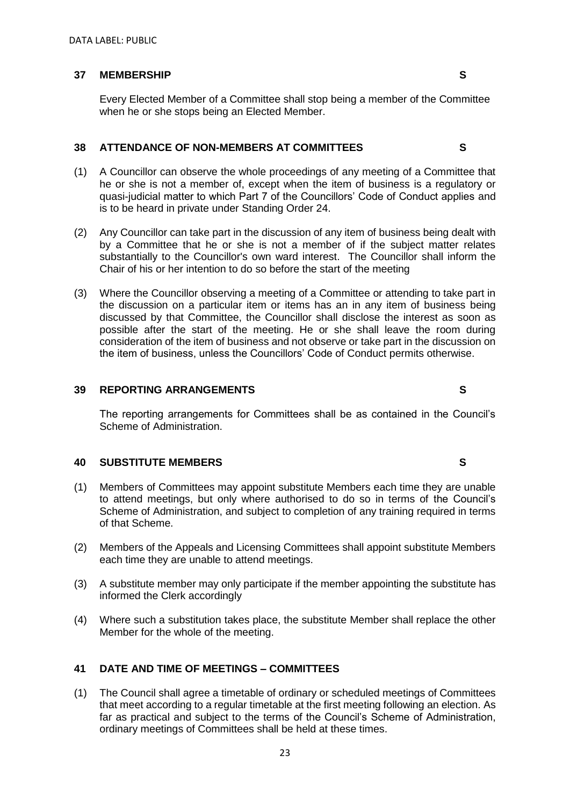### **37 MEMBERSHIP S**

Every Elected Member of a Committee shall stop being a member of the Committee when he or she stops being an Elected Member.

### **38 ATTENDANCE OF NON-MEMBERS AT COMMITTEES**

- (1) A Councillor can observe the whole proceedings of any meeting of a Committee that he or she is not a member of, except when the item of business is a regulatory or quasi-judicial matter to which Part 7 of the Councillors' Code of Conduct applies and is to be heard in private under Standing Order 24.
- (2) Any Councillor can take part in the discussion of any item of business being dealt with by a Committee that he or she is not a member of if the subject matter relates substantially to the Councillor's own ward interest. The Councillor shall inform the Chair of his or her intention to do so before the start of the meeting
- (3) Where the Councillor observing a meeting of a Committee or attending to take part in the discussion on a particular item or items has an in any item of business being discussed by that Committee, the Councillor shall disclose the interest as soon as possible after the start of the meeting. He or she shall leave the room during consideration of the item of business and not observe or take part in the discussion on the item of business, unless the Councillors' Code of Conduct permits otherwise.

### **39 REPORTING ARRANGEMENTS**

The reporting arrangements for Committees shall be as contained in the Council's Scheme of Administration.

### **40 SUBSTITUTE MEMBERS**

- (1) Members of Committees may appoint substitute Members each time they are unable to attend meetings, but only where authorised to do so in terms of the Council's Scheme of Administration, and subject to completion of any training required in terms of that Scheme.
- (2) Members of the Appeals and Licensing Committees shall appoint substitute Members each time they are unable to attend meetings.
- (3) A substitute member may only participate if the member appointing the substitute has informed the Clerk accordingly
- (4) Where such a substitution takes place, the substitute Member shall replace the other Member for the whole of the meeting.

### **41 DATE AND TIME OF MEETINGS – COMMITTEES**

(1) The Council shall agree a timetable of ordinary or scheduled meetings of Committees that meet according to a regular timetable at the first meeting following an election. As far as practical and subject to the terms of the Council's Scheme of Administration, ordinary meetings of Committees shall be held at these times.

**S**

**S**

**S**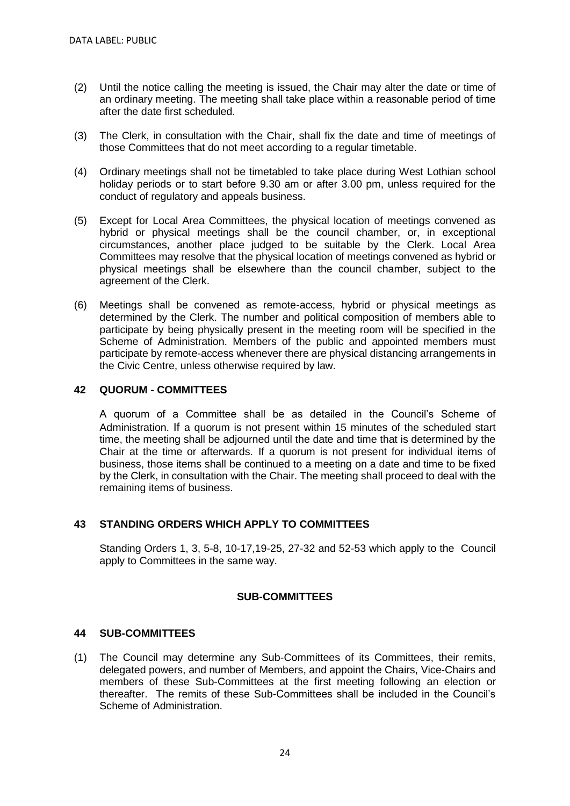- (2) Until the notice calling the meeting is issued, the Chair may alter the date or time of an ordinary meeting. The meeting shall take place within a reasonable period of time after the date first scheduled.
- (3) The Clerk, in consultation with the Chair, shall fix the date and time of meetings of those Committees that do not meet according to a regular timetable.
- (4) Ordinary meetings shall not be timetabled to take place during West Lothian school holiday periods or to start before 9.30 am or after 3.00 pm, unless required for the conduct of regulatory and appeals business.
- (5) Except for Local Area Committees, the physical location of meetings convened as hybrid or physical meetings shall be the council chamber, or, in exceptional circumstances, another place judged to be suitable by the Clerk. Local Area Committees may resolve that the physical location of meetings convened as hybrid or physical meetings shall be elsewhere than the council chamber, subject to the agreement of the Clerk.
- (6) Meetings shall be convened as remote-access, hybrid or physical meetings as determined by the Clerk. The number and political composition of members able to participate by being physically present in the meeting room will be specified in the Scheme of Administration. Members of the public and appointed members must participate by remote-access whenever there are physical distancing arrangements in the Civic Centre, unless otherwise required by law.

### **42 QUORUM - COMMITTEES**

A quorum of a Committee shall be as detailed in the Council's Scheme of Administration. If a quorum is not present within 15 minutes of the scheduled start time, the meeting shall be adjourned until the date and time that is determined by the Chair at the time or afterwards. If a quorum is not present for individual items of business, those items shall be continued to a meeting on a date and time to be fixed by the Clerk, in consultation with the Chair. The meeting shall proceed to deal with the remaining items of business.

### **43 STANDING ORDERS WHICH APPLY TO COMMITTEES**

Standing Orders 1, 3, 5-8, 10-17,19-25, 27-32 and 52-53 which apply to the Council apply to Committees in the same way.

### **SUB-COMMITTEES**

### **44 SUB-COMMITTEES**

(1) The Council may determine any Sub-Committees of its Committees, their remits, delegated powers, and number of Members, and appoint the Chairs, Vice-Chairs and members of these Sub-Committees at the first meeting following an election or thereafter. The remits of these Sub-Committees shall be included in the Council's Scheme of Administration.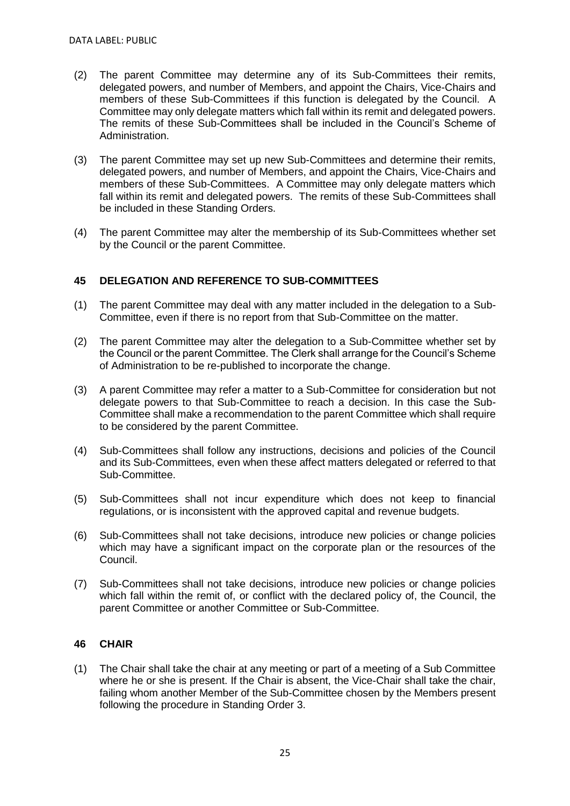- (2) The parent Committee may determine any of its Sub-Committees their remits, delegated powers, and number of Members, and appoint the Chairs, Vice-Chairs and members of these Sub-Committees if this function is delegated by the Council. A Committee may only delegate matters which fall within its remit and delegated powers. The remits of these Sub-Committees shall be included in the Council's Scheme of Administration.
- (3) The parent Committee may set up new Sub-Committees and determine their remits, delegated powers, and number of Members, and appoint the Chairs, Vice-Chairs and members of these Sub-Committees. A Committee may only delegate matters which fall within its remit and delegated powers. The remits of these Sub-Committees shall be included in these Standing Orders.
- (4) The parent Committee may alter the membership of its Sub-Committees whether set by the Council or the parent Committee.

### **45 DELEGATION AND REFERENCE TO SUB-COMMITTEES**

- (1) The parent Committee may deal with any matter included in the delegation to a Sub-Committee, even if there is no report from that Sub-Committee on the matter.
- (2) The parent Committee may alter the delegation to a Sub-Committee whether set by the Council or the parent Committee. The Clerk shall arrange for the Council's Scheme of Administration to be re-published to incorporate the change.
- (3) A parent Committee may refer a matter to a Sub-Committee for consideration but not delegate powers to that Sub-Committee to reach a decision. In this case the Sub-Committee shall make a recommendation to the parent Committee which shall require to be considered by the parent Committee.
- (4) Sub-Committees shall follow any instructions, decisions and policies of the Council and its Sub-Committees, even when these affect matters delegated or referred to that Sub-Committee.
- (5) Sub-Committees shall not incur expenditure which does not keep to financial regulations, or is inconsistent with the approved capital and revenue budgets.
- (6) Sub-Committees shall not take decisions, introduce new policies or change policies which may have a significant impact on the corporate plan or the resources of the Council.
- (7) Sub-Committees shall not take decisions, introduce new policies or change policies which fall within the remit of, or conflict with the declared policy of, the Council, the parent Committee or another Committee or Sub-Committee.

### **46 CHAIR**

(1) The Chair shall take the chair at any meeting or part of a meeting of a Sub Committee where he or she is present. If the Chair is absent, the Vice-Chair shall take the chair, failing whom another Member of the Sub-Committee chosen by the Members present following the procedure in Standing Order 3.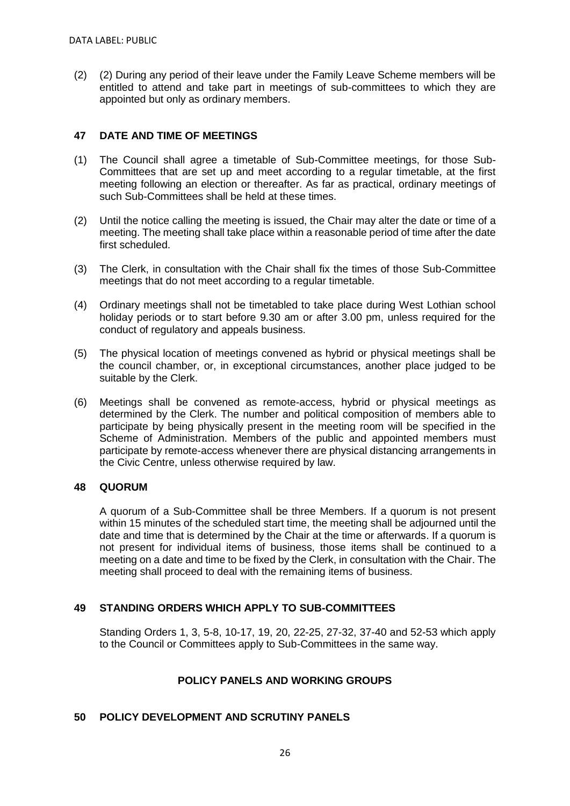(2) (2) During any period of their leave under the Family Leave Scheme members will be entitled to attend and take part in meetings of sub-committees to which they are appointed but only as ordinary members.

### **47 DATE AND TIME OF MEETINGS**

- (1) The Council shall agree a timetable of Sub-Committee meetings, for those Sub-Committees that are set up and meet according to a regular timetable, at the first meeting following an election or thereafter. As far as practical, ordinary meetings of such Sub-Committees shall be held at these times.
- (2) Until the notice calling the meeting is issued, the Chair may alter the date or time of a meeting. The meeting shall take place within a reasonable period of time after the date first scheduled.
- (3) The Clerk, in consultation with the Chair shall fix the times of those Sub-Committee meetings that do not meet according to a regular timetable.
- (4) Ordinary meetings shall not be timetabled to take place during West Lothian school holiday periods or to start before 9.30 am or after 3.00 pm, unless required for the conduct of regulatory and appeals business.
- (5) The physical location of meetings convened as hybrid or physical meetings shall be the council chamber, or, in exceptional circumstances, another place judged to be suitable by the Clerk.
- (6) Meetings shall be convened as remote-access, hybrid or physical meetings as determined by the Clerk. The number and political composition of members able to participate by being physically present in the meeting room will be specified in the Scheme of Administration. Members of the public and appointed members must participate by remote-access whenever there are physical distancing arrangements in the Civic Centre, unless otherwise required by law.

### **48 QUORUM**

A quorum of a Sub-Committee shall be three Members. If a quorum is not present within 15 minutes of the scheduled start time, the meeting shall be adjourned until the date and time that is determined by the Chair at the time or afterwards. If a quorum is not present for individual items of business, those items shall be continued to a meeting on a date and time to be fixed by the Clerk, in consultation with the Chair. The meeting shall proceed to deal with the remaining items of business.

### **49 STANDING ORDERS WHICH APPLY TO SUB-COMMITTEES**

Standing Orders 1, 3, 5-8, 10-17, 19, 20, 22-25, 27-32, 37-40 and 52-53 which apply to the Council or Committees apply to Sub-Committees in the same way.

### **POLICY PANELS AND WORKING GROUPS**

### **50 POLICY DEVELOPMENT AND SCRUTINY PANELS**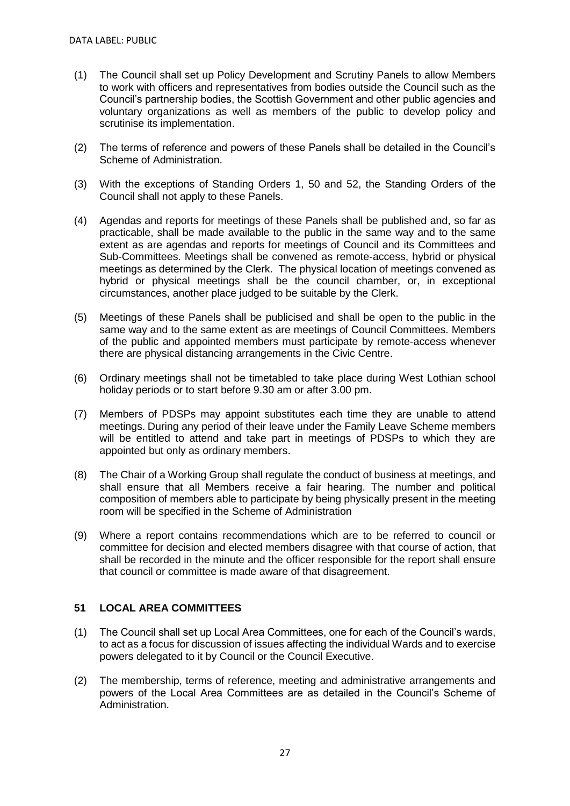- (1) The Council shall set up Policy Development and Scrutiny Panels to allow Members to work with officers and representatives from bodies outside the Council such as the Council's partnership bodies, the Scottish Government and other public agencies and voluntary organizations as well as members of the public to develop policy and scrutinise its implementation.
- (2) The terms of reference and powers of these Panels shall be detailed in the Council's Scheme of Administration.
- (3) With the exceptions of Standing Orders 1, 50 and 52, the Standing Orders of the Council shall not apply to these Panels.
- (4) Agendas and reports for meetings of these Panels shall be published and, so far as practicable, shall be made available to the public in the same way and to the same extent as are agendas and reports for meetings of Council and its Committees and Sub-Committees. Meetings shall be convened as remote-access, hybrid or physical meetings as determined by the Clerk. The physical location of meetings convened as hybrid or physical meetings shall be the council chamber, or, in exceptional circumstances, another place judged to be suitable by the Clerk.
- (5) Meetings of these Panels shall be publicised and shall be open to the public in the same way and to the same extent as are meetings of Council Committees. Members of the public and appointed members must participate by remote-access whenever there are physical distancing arrangements in the Civic Centre.
- (6) Ordinary meetings shall not be timetabled to take place during West Lothian school holiday periods or to start before 9.30 am or after 3.00 pm.
- (7) Members of PDSPs may appoint substitutes each time they are unable to attend meetings. During any period of their leave under the Family Leave Scheme members will be entitled to attend and take part in meetings of PDSPs to which they are appointed but only as ordinary members.
- (8) The Chair of a Working Group shall regulate the conduct of business at meetings, and shall ensure that all Members receive a fair hearing. The number and political composition of members able to participate by being physically present in the meeting room will be specified in the Scheme of Administration
- (9) Where a report contains recommendations which are to be referred to council or committee for decision and elected members disagree with that course of action, that shall be recorded in the minute and the officer responsible for the report shall ensure that council or committee is made aware of that disagreement.

### **51 LOCAL AREA COMMITTEES**

- (1) The Council shall set up Local Area Committees, one for each of the Council's wards, to act as a focus for discussion of issues affecting the individual Wards and to exercise powers delegated to it by Council or the Council Executive.
- (2) The membership, terms of reference, meeting and administrative arrangements and powers of the Local Area Committees are as detailed in the Council's Scheme of Administration.